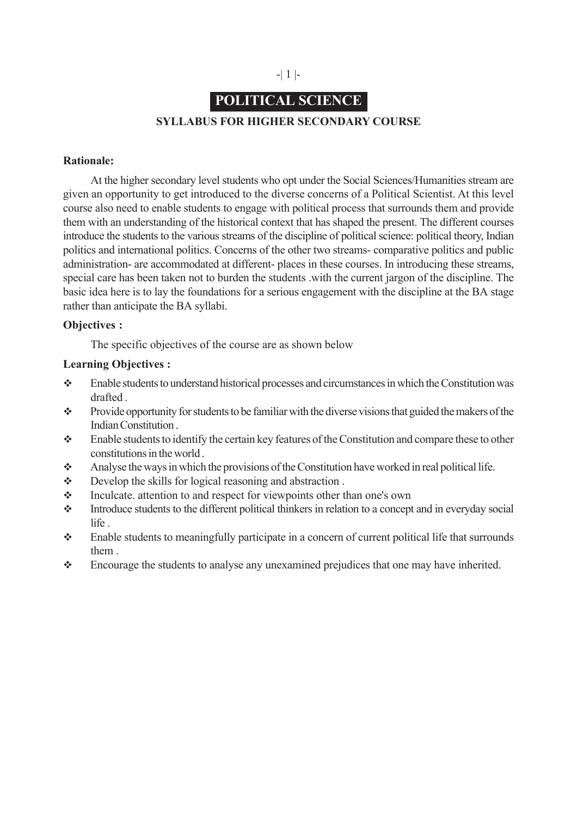

# **POLITICAL SCIENCE**

## **SYLLABUS FOR HIGHER SECONDARY COURSE**

#### **Rationale:**

At the higher secondary level students who opt under the Social Sciences/Humanities stream are given an opportunity to get introduced to the diverse concerns of a Political Scientist. At this level course also need to enable students to engage with political process that surrounds them and provide them with an understanding of the historical context that has shaped the present. The different courses introduce the students to the various streams of the discipline of political science: political theory, Indian politics and international politics. Concerns of the other two streams- comparative politics and public administration- are accommodated at different- places in these courses. In introducing these streams, special care has been taken not to burden the students .with the current jargon of the discipline. The basic idea here is to lay the foundations for a serious engagement with the discipline at the BA stage rather than anticipate the BA syllabi.

## **Objectives :**

The specific objectives of the course are as shown below

#### **Learning Objectives :**

- Enable students to understand historical processes and circumstances in which the Constitution was drafted .
- $\bullet$  Provide opportunity for students to be familiar with the diverse visions that guided the makers of the Indian Constitution .
- Enable students to identify the certain key features of the Constitution and compare these to other constitutions in the world .
- Analyse the ways in which the provisions of the Constitution have worked in real political life.
- Develop the skills for logical reasoning and abstraction .
- Inculcate. attention to and respect for viewpoints other than one's own
- Introduce students to the different political thinkers in relation to a concept and in everyday social life .
- Enable students to meaningfully participate in a concern of current political life that surrounds them .
- Encourage the students to analyse any unexamined prejudices that one may have inherited.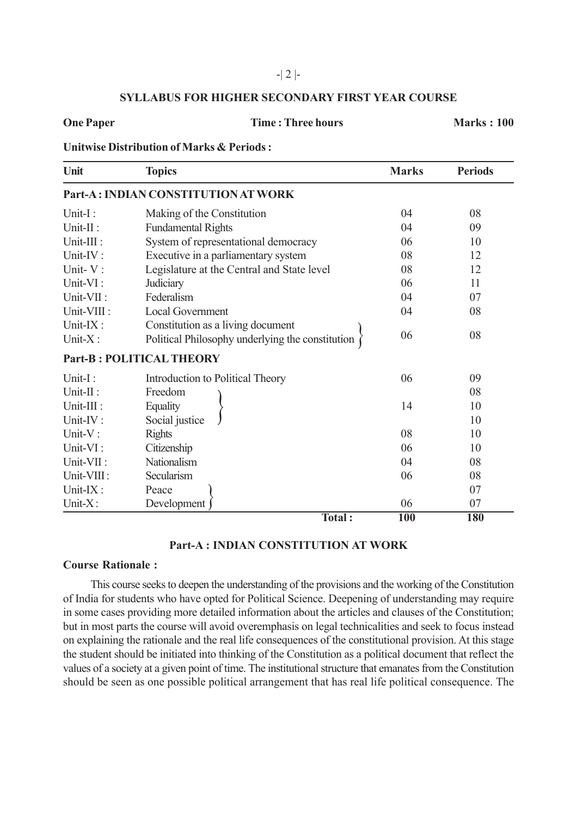### -| 2 |-

## **SYLLABUS FOR HIGHER SECONDARY FIRST YEAR COURSE**

#### **One Paper Time : Three hours Marks : 100**

## **Unitwise Distribution of Marks & Periods :**

| Unit                    | <b>Topics</b>                                                                         | <b>Marks</b> | <b>Periods</b> |
|-------------------------|---------------------------------------------------------------------------------------|--------------|----------------|
|                         | Part-A: INDIAN CONSTITUTION AT WORK                                                   |              |                |
| Unit-I:                 | Making of the Constitution                                                            | 04           | 08             |
| Unit-II:                | <b>Fundamental Rights</b>                                                             | 04           | 09             |
| Unit-III :              | System of representational democracy                                                  | 06           | 10             |
| Unit-IV:                | Executive in a parliamentary system                                                   | 08           | 12             |
| Unit-V:                 | Legislature at the Central and State level                                            | 08           | 12             |
| Unit-VI:                | Judiciary                                                                             | 06           | 11             |
| Unit-VII:               | Federalism                                                                            | 04           | 07             |
| Unit-VIII :             | <b>Local Government</b>                                                               | 04           | 08             |
| Unit-IX:<br>Unit- $X$ : | Constitution as a living document<br>Political Philosophy underlying the constitution | 06           | 08             |
|                         | <b>Part-B: POLITICAL THEORY</b>                                                       |              |                |
| Unit-I:                 | Introduction to Political Theory                                                      | 06           | 09             |
| Unit- $\Pi$ :           | Freedom                                                                               |              | 08             |
| Unit-III :              | Equality                                                                              | 14           | 10             |
| Unit-IV:                | Social justice                                                                        |              | 10             |
| Unit-V:                 | <b>Rights</b>                                                                         | 08           | 10             |
| Unit-VI:                | Citizenship                                                                           | 06           | 10             |
| Unit-VII:               | Nationalism                                                                           | 04           | 08             |
| Unit-VIII:              | Secularism                                                                            | 06           | 08             |
| Unit-IX:                | Peace                                                                                 |              | 07             |
| Unit- $X$ :             | Development                                                                           | 06           | 07             |
|                         | Total:                                                                                | <b>100</b>   | <b>180</b>     |

## **Part-A : INDIAN CONSTITUTION AT WORK**

#### **Course Rationale :**

This course seeks to deepen the understanding of the provisions and the working of the Constitution of India for students who have opted for Political Science. Deepening of understanding may require in some cases providing more detailed information about the articles and clauses of the Constitution; but in most parts the course will avoid overemphasis on legal technicalities and seek to focus instead on explaining the rationale and the real life consequences of the constitutional provision. At this stage the student should be initiated into thinking of the Constitution as a political document that reflect the values of a society at a given point of time. The institutional structure that emanates from the Constitution should be seen as one possible political arrangement that has real life political consequence. The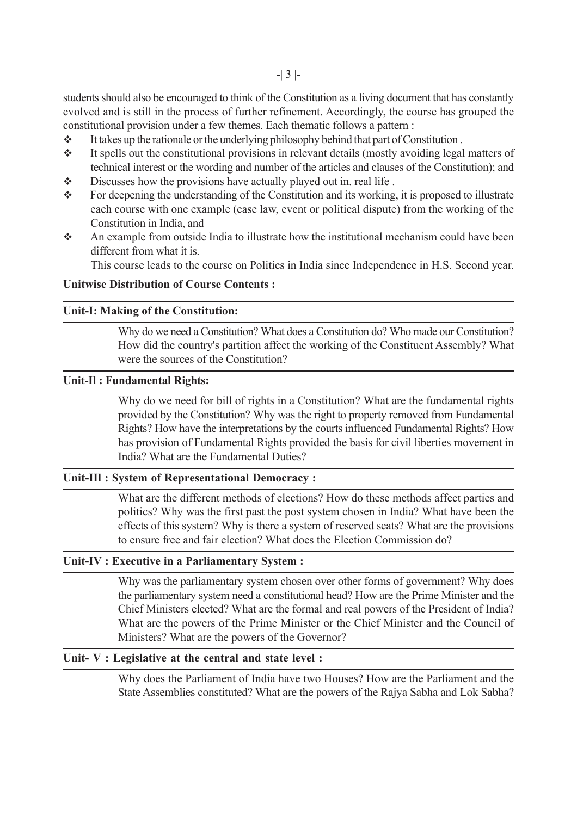students should also be encouraged to think of the Constitution as a living document that has constantly evolved and is still in the process of further refinement. Accordingly, the course has grouped the constitutional provision under a few themes. Each thematic follows a pattern :

- $\cdot \cdot$  It takes up the rationale or the underlying philosophy behind that part of Constitution.
- It spells out the constitutional provisions in relevant details (mostly avoiding legal matters of technical interest or the wording and number of the articles and clauses of the Constitution); and
- $\bullet$  Discusses how the provisions have actually played out in. real life.
- \* For deepening the understanding of the Constitution and its working, it is proposed to illustrate each course with one example (case law, event or political dispute) from the working of the Constitution in India, and
- An example from outside India to illustrate how the institutional mechanism could have been different from what it is.

This course leads to the course on Politics in India since Independence in H.S. Second year.

## **Unitwise Distribution of Course Contents :**

#### **Unit-I: Making of the Constitution:**

Why do we need a Constitution? What does a Constitution do? Who made our Constitution? How did the country's partition affect the working of the Constituent Assembly? What were the sources of the Constitution?

#### **Unit-Il : Fundamental Rights:**

Why do we need for bill of rights in a Constitution? What are the fundamental rights provided by the Constitution? Why was the right to property removed from Fundamental Rights? How have the interpretations by the courts influenced Fundamental Rights? How has provision of Fundamental Rights provided the basis for civil liberties movement in India? What are the Fundamental Duties?

#### **Unit-IIl : System of Representational Democracy :**

What are the different methods of elections? How do these methods affect parties and politics? Why was the first past the post system chosen in India? What have been the effects of this system? Why is there a system of reserved seats? What are the provisions to ensure free and fair election? What does the Election Commission do?

#### **Unit-IV : Executive in a Parliamentary System :**

Why was the parliamentary system chosen over other forms of government? Why does the parliamentary system need a constitutional head? How are the Prime Minister and the Chief Ministers elected? What are the formal and real powers of the President of India? What are the powers of the Prime Minister or the Chief Minister and the Council of Ministers? What are the powers of the Governor?

### **Unit- V : Legislative at the central and state level :**

Why does the Parliament of India have two Houses? How are the Parliament and the State Assemblies constituted? What are the powers of the Rajya Sabha and Lok Sabha?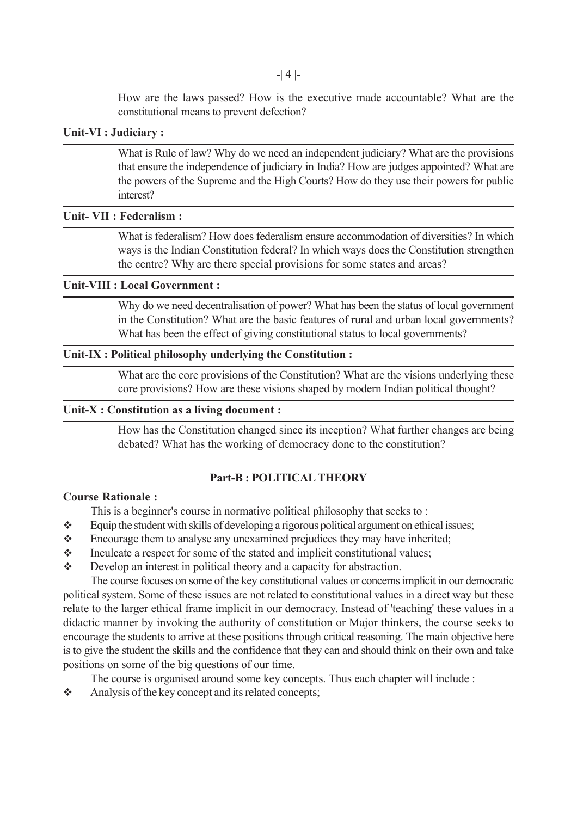How are the laws passed? How is the executive made accountable? What are the constitutional means to prevent defection?

## **Unit-VI : Judiciary :**

What is Rule of law? Why do we need an independent judiciary? What are the provisions that ensure the independence of judiciary in India? How are judges appointed? What are the powers of the Supreme and the High Courts? How do they use their powers for public interest?

#### **Unit- VII : Federalism :**

What is federalism? How does federalism ensure accommodation of diversities? In which ways is the Indian Constitution federal? In which ways does the Constitution strengthen the centre? Why are there special provisions for some states and areas?

## **Unit-VIII : Local Government :**

Why do we need decentralisation of power? What has been the status of local government in the Constitution? What are the basic features of rural and urban local governments? What has been the effect of giving constitutional status to local governments?

#### **Unit-IX : Political philosophy underlying the Constitution :**

What are the core provisions of the Constitution? What are the visions underlying these core provisions? How are these visions shaped by modern Indian political thought?

#### **Unit-X : Constitution as a living document :**

How has the Constitution changed since its inception? What further changes are being debated? What has the working of democracy done to the constitution?

## **Part-B : POLITICAL THEORY**

#### **Course Rationale :**

This is a beginner's course in normative political philosophy that seeks to :

- $\div$  Equip the student with skills of developing a rigorous political argument on ethical issues;
- Encourage them to analyse any unexamined prejudices they may have inherited;
- Inculcate a respect for some of the stated and implicit constitutional values;
- Develop an interest in political theory and a capacity for abstraction.

The course focuses on some of the key constitutional values or concerns implicit in our democratic political system. Some of these issues are not related to constitutional values in a direct way but these relate to the larger ethical frame implicit in our democracy. Instead of 'teaching' these values in a didactic manner by invoking the authority of constitution or Major thinkers, the course seeks to encourage the students to arrive at these positions through critical reasoning. The main objective here is to give the student the skills and the confidence that they can and should think on their own and take positions on some of the big questions of our time.

The course is organised around some key concepts. Thus each chapter will include :

Analysis of the key concept and its related concepts;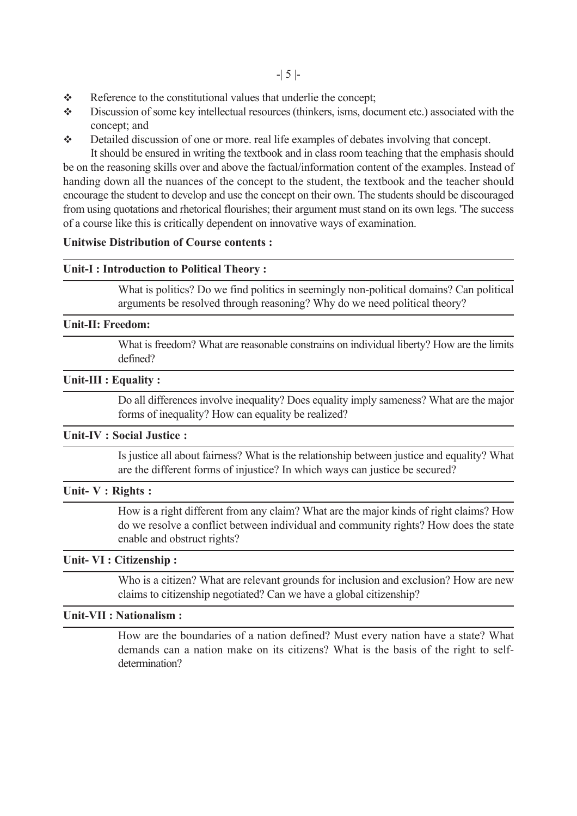- $\triangle$  Reference to the constitutional values that underlie the concept;
- Discussion of some key intellectual resources (thinkers, isms, document etc.) associated with the concept; and
- $\triangle$  Detailed discussion of one or more, real life examples of debates involving that concept.

It should be ensured in writing the textbook and in class room teaching that the emphasis should be on the reasoning skills over and above the factual/information content of the examples. Instead of handing down all the nuances of the concept to the student, the textbook and the teacher should encourage the student to develop and use the concept on their own. The students should be discouraged from using quotations and rhetorical flourishes; their argument must stand on its own legs. 'The success of a course like this is critically dependent on innovative ways of examination.

## **Unitwise Distribution of Course contents :**

## **Unit-I : Introduction to Political Theory :**

What is politics? Do we find politics in seemingly non-political domains? Can political arguments be resolved through reasoning? Why do we need political theory?

## **Unit-II: Freedom:**

What is freedom? What are reasonable constrains on individual liberty? How are the limits defined?

### **Unit-III : Equality :**

Do all differences involve inequality? Does equality imply sameness? What are the major forms of inequality? How can equality be realized?

## **Unit-IV : Social Justice :**

Is justice all about fairness? What is the relationship between justice and equality? What are the different forms of injustice? In which ways can justice be secured?

#### **Unit- V : Rights :**

How is a right different from any claim? What are the major kinds of right claims? How do we resolve a conflict between individual and community rights? How does the state enable and obstruct rights?

## **Unit- VI : Citizenship :**

Who is a citizen? What are relevant grounds for inclusion and exclusion? How are new claims to citizenship negotiated? Can we have a global citizenship?

# **Unit-VII : Nationalism :**

How are the boundaries of a nation defined? Must every nation have a state? What demands can a nation make on its citizens? What is the basis of the right to selfdetermination?